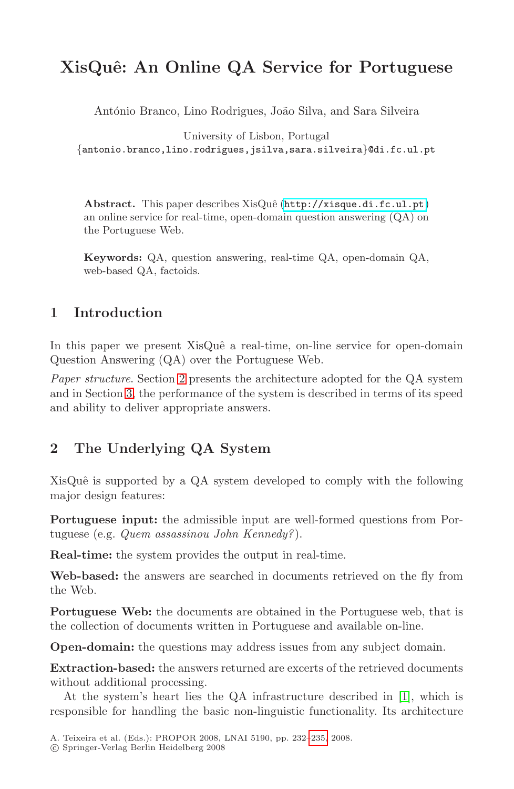# **XisQuˆe: An Online QA Service for Portuguese**

António Branco, Lino Rodrigues, João Silva, and Sara Silveira

University of Lisbon, Portugal {antonio.branco,lino.rodrigues,jsilva,sara.silveira}@di.fc.ul.pt

Abstract. This paper describes XisQuê (http://xisque.di.fc.ul.pt) an online service for real-time, open-domain question answering (QA) on the Portuguese Web.

**Keywords:** QA, question answering, real-time QA, open-domain QA, web-based QA, factoids.

### **1 Introduction**

In this paper we present XisQuê a real-time, on-line service for open-domain Question Answering (QA) over the Portuguese Web.

Paper structure. Section 2 presents the architecture adopted for the QA system and in Section 3, the performance of the system is described in terms of its speed and ability to deliver appropriate answers.

## **2 The Underlying QA System**

XisQuê is supported by a QA system developed to comply with the following major design features:

**Portuguese input:** the admissible input are well-formed questions from Portuguese (e.g. Quem assassinou John Kennedy?).

**Real-time:** the system provides the output in real-time.

**Web-based:** the answers are searched in documents retrieved on the fly from the Web.

**Portuguese Web:** the documents are obtained in the Portuguese web, that is the collection of documents wr[itten](#page-3-0) in Portuguese and available on-line.

**Open-domain:** the questions may address issues from any subject domain.

**Extraction-based:** the answers returned are excerts of the retrieved documents without additional processing.

At the system's heart lies the QA infrastructure described in [1], which is responsible for handling the basic non-linguistic functionality. Its architecture

A. Teixeira et al. (Eds.): PROPOR 2008, LNAI 5190, pp. 232–235, 2008.

<sup>-</sup>c Springer-Verlag Berlin Heidelberg 2008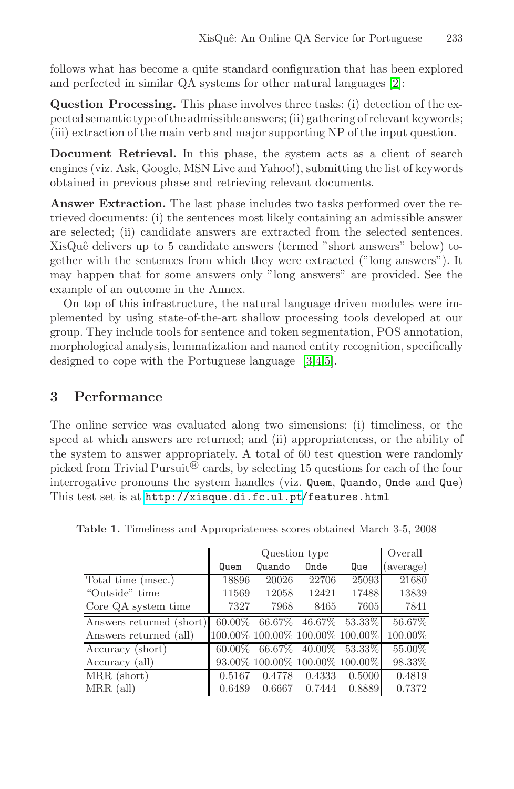follows what has become a quite standard configuration that has been explored and perfected in similar QA systems for other natural languages [2]:

**Question Processing.** This phase involves three tasks: (i) detection of the expected semantic type of the admissible answers; (ii) gathering of relevant keywords; (iii) extraction of the main verb and major supporting NP of the input question.

**Document Retrieval.** In this phase, the system acts as a client of search engines (viz. Ask, Google, MSN Live and Yahoo!), submitting the list of keywords obtained in previous phase and retrieving relevant documents.

**Answer Extraction.** The last phase includes two tasks performed over the retrieved documents: (i) the sentences most likely containing an admissible answer are selected; (ii) candidate answers are extracted from the selected sentences. XisQuê delivers up to 5 candidate answers (termed "short answers" below) together with the sentences from which they were extracted ("long answers"). It may happen that for some answers only "long answers" are provided. See the example of an outcome in the Annex.

On top of this infrastructure, the natural language driven modules were implemented by using state-of-the-art shallow processing tools developed at our group. They include tools for sentence and token segmentation, POS annotation, morphological analysis, lemmatization and named entity recognition, specifically designed to cope with the Portuguese language [3,4,5].

### **[3](http://xisque.di.fc.ul.pt) [Performance](http://xisque.di.fc.ul.pt)**

The online service was evaluated along two simensions: (i) timeliness, or the speed at which answers are returned; and (ii) appropriateness, or the ability of the system to answer appropriately. A total of 60 test question were randomly picked from Trivial Pursuit<sup>®</sup> cards, by selecting 15 questions for each of the four interrogative pronouns the system handles (viz. Quem, Quando, Onde and Que) This test set is at http://xisque.di.fc.ul.pt/features.html

|                          | Question type |        |        |                                         | Overall   |
|--------------------------|---------------|--------|--------|-----------------------------------------|-----------|
|                          | Quem          | Quando | Onde   | Que                                     | (average) |
| Total time (msec.)       | 18896         | 20026  | 22706  | 25093                                   | 21680     |
| "Outside" time           | 11569         | 12058  | 12421  | 17488                                   | 13839     |
| Core QA system time      | 7327          | 7968   | 8465   | 7605                                    | 7841      |
| Answers returned (short) |               |        |        | 60.00% 66.67% 46.67% 53.33%             | 56.67%    |
| Answers returned (all)   |               |        |        | 100.00% 100.00% 100.00% 100.00%         | 100.00%   |
| Accuracy (short)         |               |        |        | $60.00\%$ $66.67\%$ $40.00\%$ $53.33\%$ | 55.00%    |
| Accuracy (all)           |               |        |        | 93.00% 100.00% 100.00% 100.00%          | 98.33%    |
| MRR (short)              | 0.5167        | 0.4778 | 0.4333 | 0.5000                                  | 0.4819    |
| $MRR$ (all)              | 0.6489        | 0.6667 | 0.7444 | 0.8889                                  | 0.7372    |

**Table 1.** Timeliness and Appropriateness scores obtained March 3-5, 2008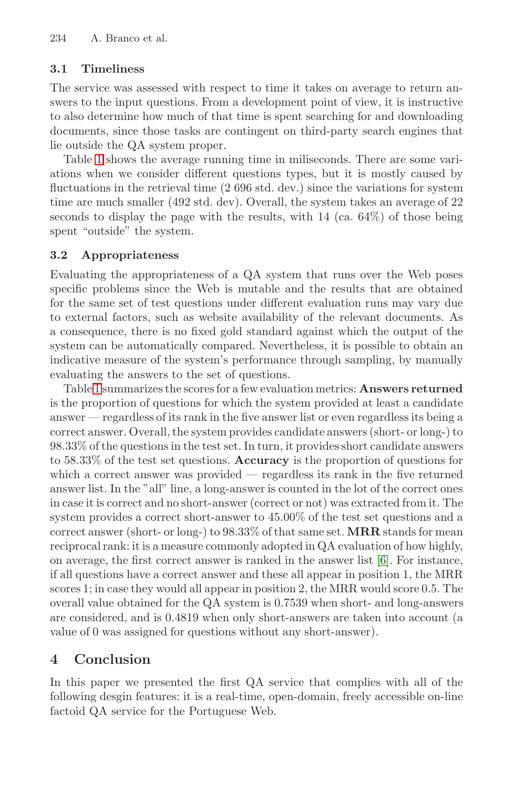234 A. Branco et al.

#### **3.1 Timeliness**

The service was assessed with respect to time it takes on average to return answers to the input questions. From a development point of view, it is instructive to also determine how much of that time is spent searching for and downloading documents, since those tasks are contingent on third-party search engines that lie outside the QA system proper.

Table 1 shows the average running time in miliseconds. There are some variations when we consider different questions types, but it is mostly caused by fluctuations in the retrieval time (2 696 std. dev.) since the variations for system time are much smaller (492 std. dev). Overall, the system takes an average of 22 seconds to display the page with the results, with 14 (ca. 64%) of those being spent "outside" the system.

#### **3.2 Appropriateness**

Evaluating the appropriateness of a QA system that runs over the Web poses specific problems since the Web is mutable and the results that are obtained for the same set of test questions under different evaluation runs may vary due to external factors, such as website availability of the relevant documents. As a consequence, there is no fixed gold standard against which the output of the system can be automatically compared. Nevertheless, it is possible to obtain an indicative measure of the system's performance through sampling, by manually evaluating the answers to the set of questions.

Table 1 summarizes the scoresfor a few evaluation metrics: **Answers returned** is the proportion of questions for which the system provided at least a candidate answer — regardless of its rank in the five answer list or even regardless its being a correctanswer. Overall, the system provides candidate answers (short- or long-) to 98.33% of the questions in the test set. In turn, it provides short candidate answers to 58.33% of the test set questions. **Accuracy** is the proportion of questions for which a correct answer was provided — regardless its rank in the five returned answer list. In the "all" line, a long-answer is counted in the lot of the correct ones in case it is correct and no short-answer (correct or not) was extracted from it. The system provides a correct short-answer to 45.00% of the test set questions and a correct answer (short- or long-) to 98.33% of that same set. **MRR** stands for mean reciprocal rank: it is a measure commonly adopted in QA evaluation of how highly, on average, the first correct answer is ranked in the answer list [6]. For instance, if all questions have a correct answer and these all appear in position 1, the MRR scores 1; in case they would all appear in position 2, the MRR would score 0.5. The overall value obtained for the QA system is 0.7539 when short- and long-answers are considered, and is 0.4819 when only short-answers are taken into account (a value of 0 was assigned for questions without any short-answer).

### **4 Conclusion**

In this paper we presented the first QA service that complies with all of the following desgin features: it is a real-time, open-domain, freely accessible on-line factoid QA service for the Portuguese Web.